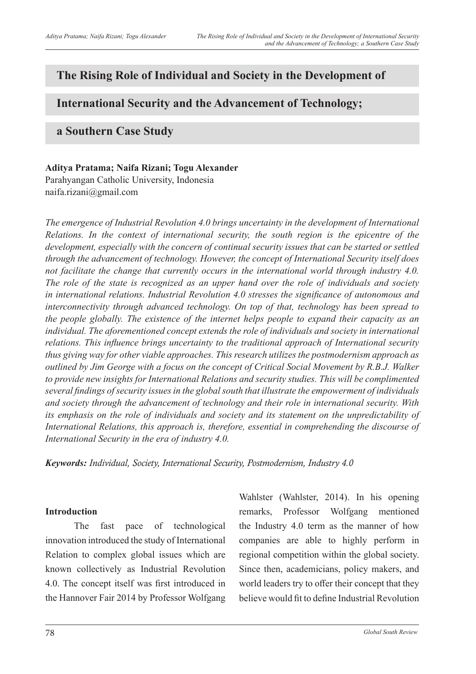# **The Rising Role of Individual and Society in the Development of**

# **International Security and the Advancement of Technology;**

## **a Southern Case Study**

**Aditya Pratama; Naifa Rizani; Togu Alexander** Parahyangan Catholic University, Indonesia naifa.rizani@gmail.com

*The emergence of Industrial Revolution 4.0 brings uncertainty in the development of International Relations. In the context of international security, the south region is the epicentre of the development, especially with the concern of continual security issues that can be started or settled through the advancement of technology. However, the concept of International Security itself does not facilitate the change that currently occurs in the international world through industry 4.0. The role of the state is recognized as an upper hand over the role of individuals and society in international relations. Industrial Revolution 4.0 stresses the significance of autonomous and interconnectivity through advanced technology. On top of that, technology has been spread to the people globally. The existence of the internet helps people to expand their capacity as an individual. The aforementioned concept extends the role of individuals and society in international relations. This influence brings uncertainty to the traditional approach of International security thus giving way for other viable approaches. This research utilizes the postmodernism approach as outlined by Jim George with a focus on the concept of Critical Social Movement by R.B.J. Walker to provide new insights for International Relations and security studies. This will be complimented several findings of security issues in the global south that illustrate the empowerment of individuals and society through the advancement of technology and their role in international security. With its emphasis on the role of individuals and society and its statement on the unpredictability of International Relations, this approach is, therefore, essential in comprehending the discourse of International Security in the era of industry 4.0.*

*Keywords: Individual, Society, International Security, Postmodernism, Industry 4.0*

## **Introduction**

The fast pace of technological innovation introduced the study of International Relation to complex global issues which are known collectively as Industrial Revolution 4.0. The concept itself was first introduced in the Hannover Fair 2014 by Professor Wolfgang

Wahlster (Wahlster, 2014). In his opening remarks, Professor Wolfgang mentioned the Industry 4.0 term as the manner of how companies are able to highly perform in regional competition within the global society. Since then, academicians, policy makers, and world leaders try to offer their concept that they believe would fit to define Industrial Revolution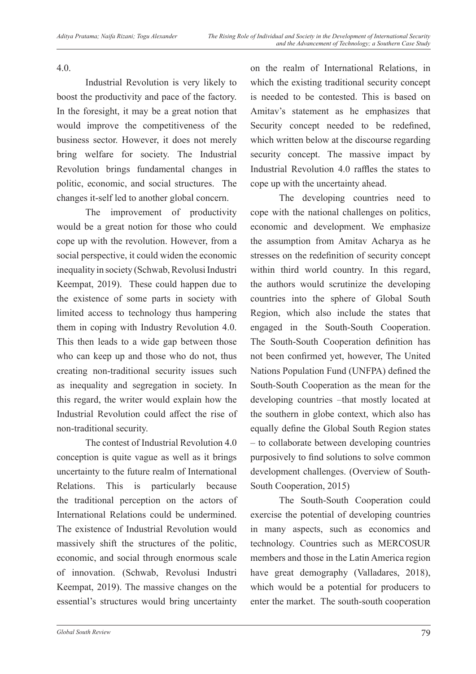4.0.

Industrial Revolution is very likely to boost the productivity and pace of the factory. In the foresight, it may be a great notion that would improve the competitiveness of the business sector. However, it does not merely bring welfare for society. The Industrial Revolution brings fundamental changes in politic, economic, and social structures. The changes it-self led to another global concern.

The improvement of productivity would be a great notion for those who could cope up with the revolution. However, from a social perspective, it could widen the economic inequality in society (Schwab, Revolusi Industri Keempat, 2019). These could happen due to the existence of some parts in society with limited access to technology thus hampering them in coping with Industry Revolution 4.0. This then leads to a wide gap between those who can keep up and those who do not, thus creating non-traditional security issues such as inequality and segregation in society. In this regard, the writer would explain how the Industrial Revolution could affect the rise of non-traditional security.

The contest of Industrial Revolution 4.0 conception is quite vague as well as it brings uncertainty to the future realm of International Relations. This is particularly because the traditional perception on the actors of International Relations could be undermined. The existence of Industrial Revolution would massively shift the structures of the politic, economic, and social through enormous scale of innovation. (Schwab, Revolusi Industri Keempat, 2019). The massive changes on the essential's structures would bring uncertainty

on the realm of International Relations, in which the existing traditional security concept is needed to be contested. This is based on Amitav's statement as he emphasizes that Security concept needed to be redefined, which written below at the discourse regarding security concept. The massive impact by Industrial Revolution 4.0 raffles the states to cope up with the uncertainty ahead.

The developing countries need to cope with the national challenges on politics, economic and development. We emphasize the assumption from Amitav Acharya as he stresses on the redefinition of security concept within third world country. In this regard, the authors would scrutinize the developing countries into the sphere of Global South Region, which also include the states that engaged in the South-South Cooperation. The South-South Cooperation definition has not been confirmed yet, however, The United Nations Population Fund (UNFPA) defined the South-South Cooperation as the mean for the developing countries –that mostly located at the southern in globe context, which also has equally define the Global South Region states – to collaborate between developing countries purposively to find solutions to solve common development challenges. (Overview of South-South Cooperation, 2015)

The South-South Cooperation could exercise the potential of developing countries in many aspects, such as economics and technology. Countries such as MERCOSUR members and those in the Latin America region have great demography (Valladares, 2018), which would be a potential for producers to enter the market. The south-south cooperation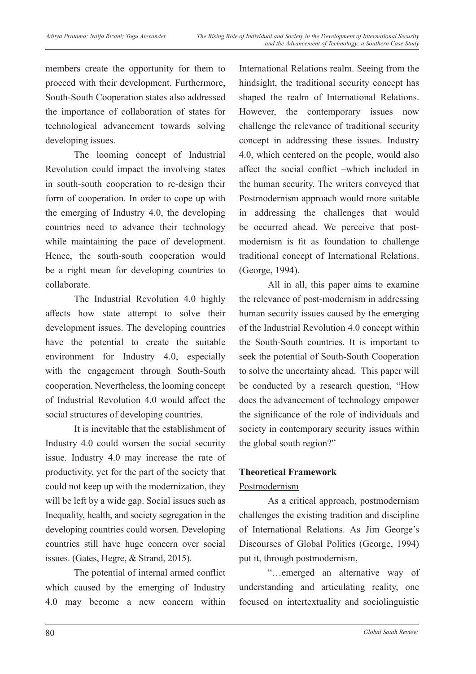members create the opportunity for them to proceed with their development. Furthermore, South-South Cooperation states also addressed the importance of collaboration of states for technological advancement towards solving developing issues.

The looming concept of Industrial Revolution could impact the involving states in south-south cooperation to re-design their form of cooperation. In order to cope up with the emerging of Industry 4.0, the developing countries need to advance their technology while maintaining the pace of development. Hence, the south-south cooperation would be a right mean for developing countries to collaborate.

The Industrial Revolution 4.0 highly affects how state attempt to solve their development issues. The developing countries have the potential to create the suitable environment for Industry 4.0, especially with the engagement through South-South cooperation. Nevertheless, the looming concept of Industrial Revolution 4.0 would affect the social structures of developing countries.

It is inevitable that the establishment of Industry 4.0 could worsen the social security issue. Industry 4.0 may increase the rate of productivity, yet for the part of the society that could not keep up with the modernization, they will be left by a wide gap. Social issues such as Inequality, health, and society segregation in the developing countries could worsen. Developing countries still have huge concern over social issues. (Gates, Hegre, & Strand, 2015).

The potential of internal armed conflict which caused by the emerging of Industry 4.0 may become a new concern within

International Relations realm. Seeing from the hindsight, the traditional security concept has shaped the realm of International Relations. However, the contemporary issues now challenge the relevance of traditional security concept in addressing these issues. Industry 4.0, which centered on the people, would also affect the social conflict –which included in the human security. The writers conveyed that Postmodernism approach would more suitable in addressing the challenges that would be occurred ahead. We perceive that postmodernism is fit as foundation to challenge traditional concept of International Relations. (George, 1994).

All in all, this paper aims to examine the relevance of post-modernism in addressing human security issues caused by the emerging of the Industrial Revolution 4.0 concept within the South-South countries. It is important to seek the potential of South-South Cooperation to solve the uncertainty ahead. This paper will be conducted by a research question, "How does the advancement of technology empower the significance of the role of individuals and society in contemporary security issues within the global south region?"

## **Theoretical Framework**

### Postmodernism

As a critical approach, postmodernism challenges the existing tradition and discipline of International Relations. As Jim George's Discourses of Global Politics (George, 1994) put it, through postmodernism,

"…emerged an alternative way of understanding and articulating reality, one focused on intertextuality and sociolinguistic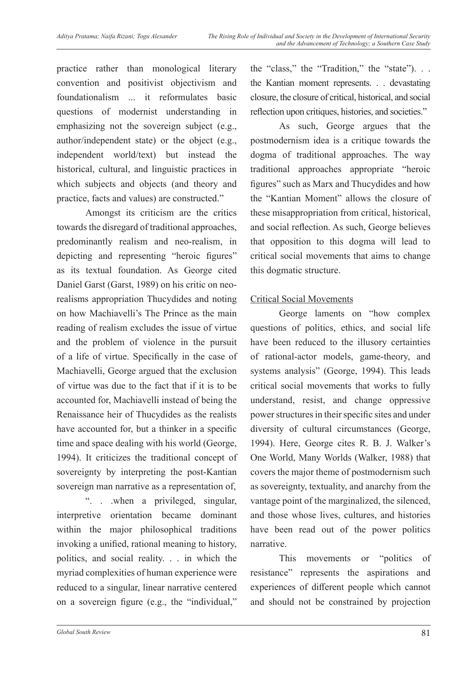practice rather than monological literary convention and positivist objectivism and foundationalism ... it reformulates basic questions of modernist understanding in emphasizing not the sovereign subject (e.g., author/independent state) or the object (e.g., independent world/text) but instead the historical, cultural, and linguistic practices in which subjects and objects (and theory and practice, facts and values) are constructed."

Amongst its criticism are the critics towards the disregard of traditional approaches, predominantly realism and neo-realism, in depicting and representing "heroic figures" as its textual foundation. As George cited Daniel Garst (Garst, 1989) on his critic on neorealisms appropriation Thucydides and noting on how Machiavelli's The Prince as the main reading of realism excludes the issue of virtue and the problem of violence in the pursuit of a life of virtue. Specifically in the case of Machiavelli, George argued that the exclusion of virtue was due to the fact that if it is to be accounted for, Machiavelli instead of being the Renaissance heir of Thucydides as the realists have accounted for, but a thinker in a specific time and space dealing with his world (George, 1994). It criticizes the traditional concept of sovereignty by interpreting the post-Kantian sovereign man narrative as a representation of,

". . .when a privileged, singular, interpretive orientation became dominant within the major philosophical traditions invoking a unified, rational meaning to history, politics, and social reality. . . in which the myriad complexities of human experience were reduced to a singular, linear narrative centered on a sovereign figure (e.g., the "individual," the "class," the "Tradition," the "state"). . . the Kantian moment represents. . . devastating closure, the closure of critical, historical, and social reflection upon critiques, histories, and societies."

As such, George argues that the postmodernism idea is a critique towards the dogma of traditional approaches. The way traditional approaches appropriate "heroic figures" such as Marx and Thucydides and how the "Kantian Moment" allows the closure of these misappropriation from critical, historical, and social reflection. As such, George believes that opposition to this dogma will lead to critical social movements that aims to change this dogmatic structure.

### Critical Social Movements

George laments on "how complex questions of politics, ethics, and social life have been reduced to the illusory certainties of rational-actor models, game-theory, and systems analysis" (George, 1994). This leads critical social movements that works to fully understand, resist, and change oppressive power structures in their specific sites and under diversity of cultural circumstances (George, 1994). Here, George cites R. B. J. Walker's One World, Many Worlds (Walker, 1988) that covers the major theme of postmodernism such as sovereignty, textuality, and anarchy from the vantage point of the marginalized, the silenced, and those whose lives, cultures, and histories have been read out of the power politics narrative.

This movements or "politics of resistance" represents the aspirations and experiences of different people which cannot and should not be constrained by projection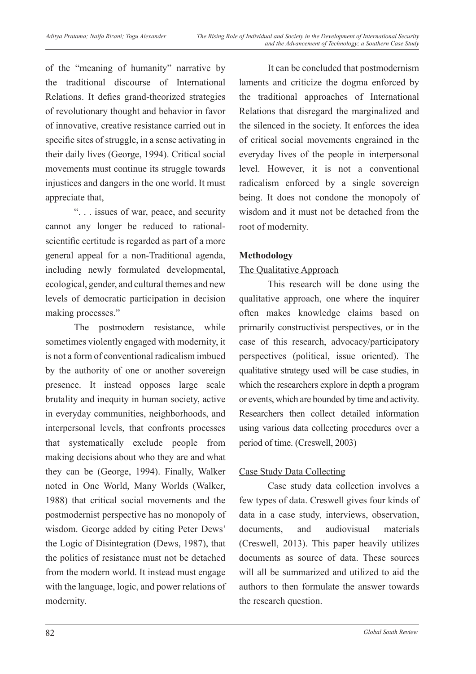of the "meaning of humanity" narrative by the traditional discourse of International Relations. It defies grand-theorized strategies of revolutionary thought and behavior in favor of innovative, creative resistance carried out in specific sites of struggle, in a sense activating in their daily lives (George, 1994). Critical social movements must continue its struggle towards injustices and dangers in the one world. It must appreciate that,

". . . issues of war, peace, and security cannot any longer be reduced to rationalscientific certitude is regarded as part of a more general appeal for a non-Traditional agenda, including newly formulated developmental, ecological, gender, and cultural themes and new levels of democratic participation in decision making processes."

The postmodern resistance, while sometimes violently engaged with modernity, it is not a form of conventional radicalism imbued by the authority of one or another sovereign presence. It instead opposes large scale brutality and inequity in human society, active in everyday communities, neighborhoods, and interpersonal levels, that confronts processes that systematically exclude people from making decisions about who they are and what they can be (George, 1994). Finally, Walker noted in One World, Many Worlds (Walker, 1988) that critical social movements and the postmodernist perspective has no monopoly of wisdom. George added by citing Peter Dews' the Logic of Disintegration (Dews, 1987), that the politics of resistance must not be detached from the modern world. It instead must engage with the language, logic, and power relations of modernity.

It can be concluded that postmodernism laments and criticize the dogma enforced by the traditional approaches of International Relations that disregard the marginalized and the silenced in the society. It enforces the idea of critical social movements engrained in the everyday lives of the people in interpersonal level. However, it is not a conventional radicalism enforced by a single sovereign being. It does not condone the monopoly of wisdom and it must not be detached from the root of modernity.

## **Methodology**

## The Qualitative Approach

This research will be done using the qualitative approach, one where the inquirer often makes knowledge claims based on primarily constructivist perspectives, or in the case of this research, advocacy/participatory perspectives (political, issue oriented). The qualitative strategy used will be case studies, in which the researchers explore in depth a program or events, which are bounded by time and activity. Researchers then collect detailed information using various data collecting procedures over a period of time. (Creswell, 2003)

## Case Study Data Collecting

Case study data collection involves a few types of data. Creswell gives four kinds of data in a case study, interviews, observation, documents, and audiovisual materials (Creswell, 2013). This paper heavily utilizes documents as source of data. These sources will all be summarized and utilized to aid the authors to then formulate the answer towards the research question.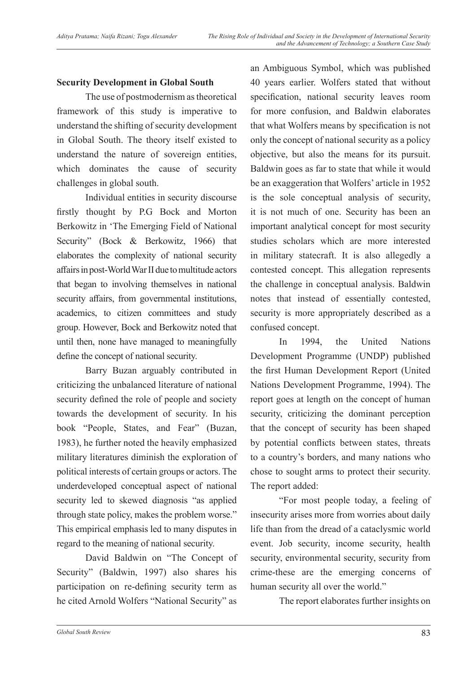## **Security Development in Global South**

The use of postmodernism as theoretical framework of this study is imperative to understand the shifting of security development in Global South. The theory itself existed to understand the nature of sovereign entities, which dominates the cause of security challenges in global south.

Individual entities in security discourse firstly thought by P.G Bock and Morton Berkowitz in 'The Emerging Field of National Security" (Bock & Berkowitz, 1966) that elaborates the complexity of national security affairs in post-World War II due to multitude actors that began to involving themselves in national security affairs, from governmental institutions, academics, to citizen committees and study group. However, Bock and Berkowitz noted that until then, none have managed to meaningfully define the concept of national security.

Barry Buzan arguably contributed in criticizing the unbalanced literature of national security defined the role of people and society towards the development of security. In his book "People, States, and Fear" (Buzan, 1983), he further noted the heavily emphasized military literatures diminish the exploration of political interests of certain groups or actors. The underdeveloped conceptual aspect of national security led to skewed diagnosis "as applied through state policy, makes the problem worse." This empirical emphasis led to many disputes in regard to the meaning of national security.

David Baldwin on "The Concept of Security" (Baldwin, 1997) also shares his participation on re-defining security term as he cited Arnold Wolfers "National Security" as

an Ambiguous Symbol, which was published 40 years earlier. Wolfers stated that without specification, national security leaves room for more confusion, and Baldwin elaborates that what Wolfers means by specification is not only the concept of national security as a policy objective, but also the means for its pursuit. Baldwin goes as far to state that while it would be an exaggeration that Wolfers' article in 1952 is the sole conceptual analysis of security, it is not much of one. Security has been an important analytical concept for most security studies scholars which are more interested in military statecraft. It is also allegedly a contested concept. This allegation represents the challenge in conceptual analysis. Baldwin notes that instead of essentially contested, security is more appropriately described as a confused concept.

In 1994, the United Nations Development Programme (UNDP) published the first Human Development Report (United Nations Development Programme, 1994). The report goes at length on the concept of human security, criticizing the dominant perception that the concept of security has been shaped by potential conflicts between states, threats to a country's borders, and many nations who chose to sought arms to protect their security. The report added:

"For most people today, a feeling of insecurity arises more from worries about daily life than from the dread of a cataclysmic world event. Job security, income security, health security, environmental security, security from crime-these are the emerging concerns of human security all over the world."

The report elaborates further insights on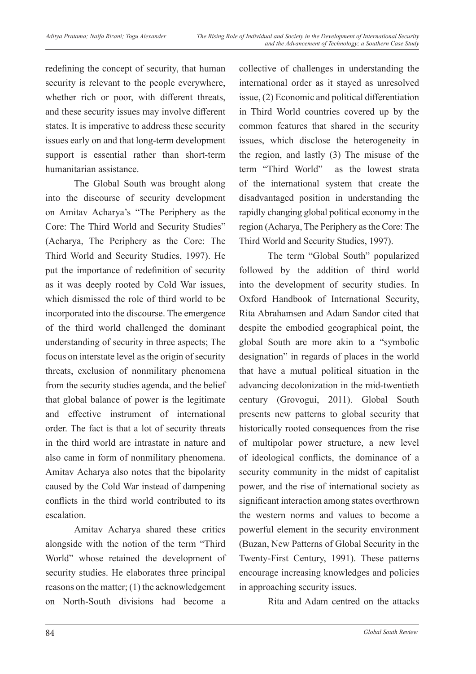redefining the concept of security, that human security is relevant to the people everywhere, whether rich or poor, with different threats, and these security issues may involve different states. It is imperative to address these security issues early on and that long-term development support is essential rather than short-term humanitarian assistance.

The Global South was brought along into the discourse of security development on Amitav Acharya's "The Periphery as the Core: The Third World and Security Studies" (Acharya, The Periphery as the Core: The Third World and Security Studies, 1997). He put the importance of redefinition of security as it was deeply rooted by Cold War issues, which dismissed the role of third world to be incorporated into the discourse. The emergence of the third world challenged the dominant understanding of security in three aspects; The focus on interstate level as the origin of security threats, exclusion of nonmilitary phenomena from the security studies agenda, and the belief that global balance of power is the legitimate and effective instrument of international order. The fact is that a lot of security threats in the third world are intrastate in nature and also came in form of nonmilitary phenomena. Amitav Acharya also notes that the bipolarity caused by the Cold War instead of dampening conflicts in the third world contributed to its escalation.

Amitav Acharya shared these critics alongside with the notion of the term "Third World" whose retained the development of security studies. He elaborates three principal reasons on the matter; (1) the acknowledgement on North-South divisions had become a collective of challenges in understanding the international order as it stayed as unresolved issue, (2) Economic and political differentiation in Third World countries covered up by the common features that shared in the security issues, which disclose the heterogeneity in the region, and lastly (3) The misuse of the term "Third World" as the lowest strata of the international system that create the disadvantaged position in understanding the rapidly changing global political economy in the region (Acharya, The Periphery as the Core: The Third World and Security Studies, 1997).

The term "Global South" popularized followed by the addition of third world into the development of security studies. In Oxford Handbook of International Security, Rita Abrahamsen and Adam Sandor cited that despite the embodied geographical point, the global South are more akin to a "symbolic designation" in regards of places in the world that have a mutual political situation in the advancing decolonization in the mid-twentieth century (Grovogui, 2011). Global South presents new patterns to global security that historically rooted consequences from the rise of multipolar power structure, a new level of ideological conflicts, the dominance of a security community in the midst of capitalist power, and the rise of international society as significant interaction among states overthrown the western norms and values to become a powerful element in the security environment (Buzan, New Patterns of Global Security in the Twenty-First Century, 1991). These patterns encourage increasing knowledges and policies in approaching security issues.

Rita and Adam centred on the attacks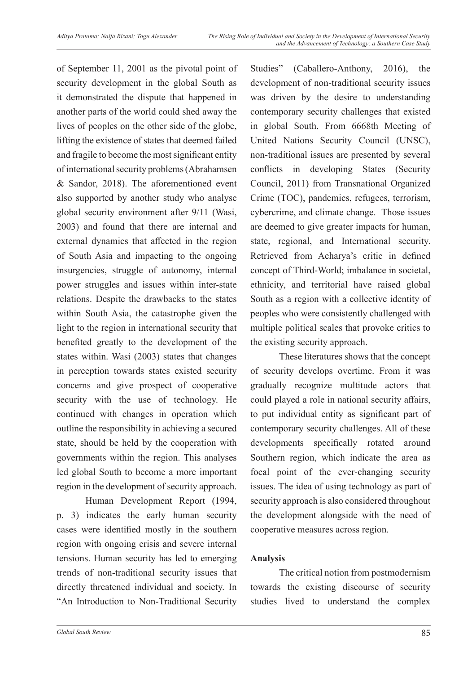of September 11, 2001 as the pivotal point of security development in the global South as it demonstrated the dispute that happened in another parts of the world could shed away the lives of peoples on the other side of the globe, lifting the existence of states that deemed failed and fragile to become the most significant entity of international security problems (Abrahamsen & Sandor, 2018). The aforementioned event also supported by another study who analyse global security environment after 9/11 (Wasi, 2003) and found that there are internal and external dynamics that affected in the region of South Asia and impacting to the ongoing insurgencies, struggle of autonomy, internal power struggles and issues within inter-state relations. Despite the drawbacks to the states within South Asia, the catastrophe given the light to the region in international security that benefited greatly to the development of the states within. Wasi (2003) states that changes in perception towards states existed security concerns and give prospect of cooperative security with the use of technology. He continued with changes in operation which outline the responsibility in achieving a secured state, should be held by the cooperation with governments within the region. This analyses led global South to become a more important region in the development of security approach.

Human Development Report (1994, p. 3) indicates the early human security cases were identified mostly in the southern region with ongoing crisis and severe internal tensions. Human security has led to emerging trends of non-traditional security issues that directly threatened individual and society. In "An Introduction to Non-Traditional Security

Studies" (Caballero-Anthony, 2016), the development of non-traditional security issues was driven by the desire to understanding contemporary security challenges that existed in global South. From 6668th Meeting of United Nations Security Council (UNSC), non-traditional issues are presented by several conflicts in developing States (Security Council, 2011) from Transnational Organized Crime (TOC), pandemics, refugees, terrorism, cybercrime, and climate change. Those issues are deemed to give greater impacts for human, state, regional, and International security. Retrieved from Acharya's critic in defined concept of Third-World; imbalance in societal, ethnicity, and territorial have raised global South as a region with a collective identity of peoples who were consistently challenged with multiple political scales that provoke critics to the existing security approach.

These literatures shows that the concept of security develops overtime. From it was gradually recognize multitude actors that could played a role in national security affairs, to put individual entity as significant part of contemporary security challenges. All of these developments specifically rotated around Southern region, which indicate the area as focal point of the ever-changing security issues. The idea of using technology as part of security approach is also considered throughout the development alongside with the need of cooperative measures across region.

### **Analysis**

The critical notion from postmodernism towards the existing discourse of security studies lived to understand the complex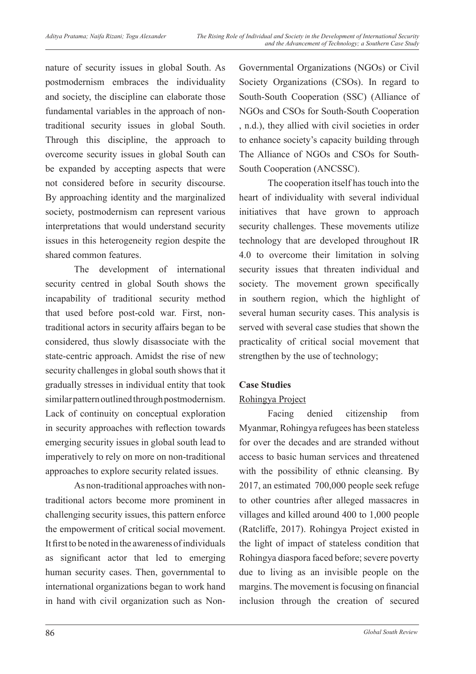nature of security issues in global South. As postmodernism embraces the individuality and society, the discipline can elaborate those fundamental variables in the approach of nontraditional security issues in global South. Through this discipline, the approach to overcome security issues in global South can be expanded by accepting aspects that were not considered before in security discourse. By approaching identity and the marginalized society, postmodernism can represent various interpretations that would understand security issues in this heterogeneity region despite the shared common features.

The development of international security centred in global South shows the incapability of traditional security method that used before post-cold war. First, nontraditional actors in security affairs began to be considered, thus slowly disassociate with the state-centric approach. Amidst the rise of new security challenges in global south shows that it gradually stresses in individual entity that took similar pattern outlined through postmodernism. Lack of continuity on conceptual exploration in security approaches with reflection towards emerging security issues in global south lead to imperatively to rely on more on non-traditional approaches to explore security related issues.

As non-traditional approaches with nontraditional actors become more prominent in challenging security issues, this pattern enforce the empowerment of critical social movement. It first to be noted in the awareness of individuals as significant actor that led to emerging human security cases. Then, governmental to international organizations began to work hand in hand with civil organization such as Non-

Governmental Organizations (NGOs) or Civil Society Organizations (CSOs). In regard to South-South Cooperation (SSC) (Alliance of NGOs and CSOs for South-South Cooperation , n.d.), they allied with civil societies in order to enhance society's capacity building through The Alliance of NGOs and CSOs for South-South Cooperation (ANCSSC).

The cooperation itself has touch into the heart of individuality with several individual initiatives that have grown to approach security challenges. These movements utilize technology that are developed throughout IR 4.0 to overcome their limitation in solving security issues that threaten individual and society. The movement grown specifically in southern region, which the highlight of several human security cases. This analysis is served with several case studies that shown the practicality of critical social movement that strengthen by the use of technology;

## **Case Studies**

## Rohingya Project

Facing denied citizenship from Myanmar, Rohingya refugees has been stateless for over the decades and are stranded without access to basic human services and threatened with the possibility of ethnic cleansing. By 2017, an estimated 700,000 people seek refuge to other countries after alleged massacres in villages and killed around 400 to 1,000 people (Ratcliffe, 2017). Rohingya Project existed in the light of impact of stateless condition that Rohingya diaspora faced before; severe poverty due to living as an invisible people on the margins. The movement is focusing on financial inclusion through the creation of secured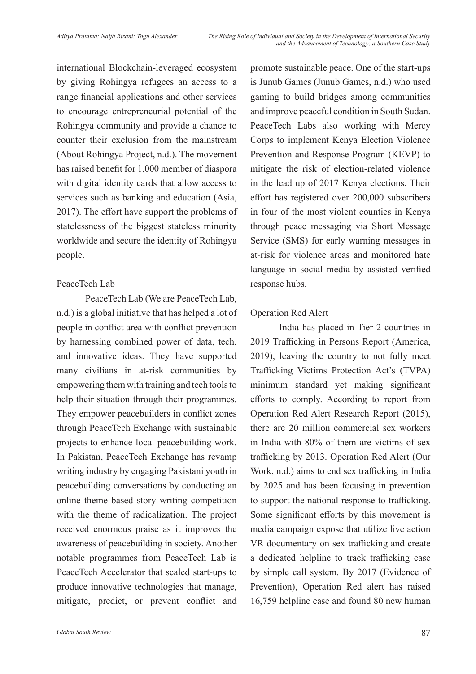international Blockchain-leveraged ecosystem by giving Rohingya refugees an access to a range financial applications and other services to encourage entrepreneurial potential of the Rohingya community and provide a chance to counter their exclusion from the mainstream (About Rohingya Project, n.d.). The movement has raised benefit for 1,000 member of diaspora with digital identity cards that allow access to services such as banking and education (Asia, 2017). The effort have support the problems of statelessness of the biggest stateless minority worldwide and secure the identity of Rohingya people.

### PeaceTech Lab

PeaceTech Lab (We are PeaceTech Lab, n.d.) is a global initiative that has helped a lot of people in conflict area with conflict prevention by harnessing combined power of data, tech, and innovative ideas. They have supported many civilians in at-risk communities by empowering them with training and tech tools to help their situation through their programmes. They empower peacebuilders in conflict zones through PeaceTech Exchange with sustainable projects to enhance local peacebuilding work. In Pakistan, PeaceTech Exchange has revamp writing industry by engaging Pakistani youth in peacebuilding conversations by conducting an online theme based story writing competition with the theme of radicalization. The project received enormous praise as it improves the awareness of peacebuilding in society. Another notable programmes from PeaceTech Lab is PeaceTech Accelerator that scaled start-ups to produce innovative technologies that manage, mitigate, predict, or prevent conflict and

promote sustainable peace. One of the start-ups is Junub Games (Junub Games, n.d.) who used gaming to build bridges among communities and improve peaceful condition in South Sudan. PeaceTech Labs also working with Mercy Corps to implement Kenya Election Violence Prevention and Response Program (KEVP) to mitigate the risk of election-related violence in the lead up of 2017 Kenya elections. Their effort has registered over 200,000 subscribers in four of the most violent counties in Kenya through peace messaging via Short Message Service (SMS) for early warning messages in at-risk for violence areas and monitored hate language in social media by assisted verified response hubs.

### Operation Red Alert

India has placed in Tier 2 countries in 2019 Trafficking in Persons Report (America, 2019), leaving the country to not fully meet Trafficking Victims Protection Act's (TVPA) minimum standard yet making significant efforts to comply. According to report from Operation Red Alert Research Report (2015), there are 20 million commercial sex workers in India with 80% of them are victims of sex trafficking by 2013. Operation Red Alert (Our Work, n.d.) aims to end sex trafficking in India by 2025 and has been focusing in prevention to support the national response to trafficking. Some significant efforts by this movement is media campaign expose that utilize live action VR documentary on sex trafficking and create a dedicated helpline to track trafficking case by simple call system. By 2017 (Evidence of Prevention), Operation Red alert has raised 16,759 helpline case and found 80 new human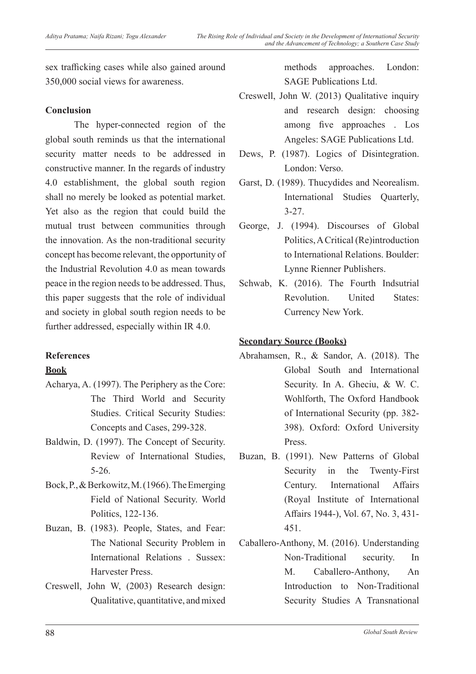sex trafficking cases while also gained around 350,000 social views for awareness.

### **Conclusion**

The hyper-connected region of the global south reminds us that the international security matter needs to be addressed in constructive manner. In the regards of industry 4.0 establishment, the global south region shall no merely be looked as potential market. Yet also as the region that could build the mutual trust between communities through the innovation. As the non-traditional security concept has become relevant, the opportunity of the Industrial Revolution 4.0 as mean towards peace in the region needs to be addressed. Thus, this paper suggests that the role of individual and society in global south region needs to be further addressed, especially within IR 4.0.

### **References**

### **Book**

- Acharya, A. (1997). The Periphery as the Core: The Third World and Security Studies. Critical Security Studies: Concepts and Cases, 299-328.
- Baldwin, D. (1997). The Concept of Security. Review of International Studies, 5-26.
- Bock, P., & Berkowitz, M. (1966). The Emerging Field of National Security. World Politics, 122-136.
- Buzan, B. (1983). People, States, and Fear: The National Security Problem in International Relations . Sussex: Harvester Press.
- Creswell, John W, (2003) Research design: Qualitative, quantitative, and mixed

methods approaches. London: SAGE Publications Ltd.

- Creswell, John W. (2013) Qualitative inquiry and research design: choosing among five approaches . Los Angeles: SAGE Publications Ltd.
- Dews, P. (1987). Logics of Disintegration. London: Verso.
- Garst, D. (1989). Thucydides and Neorealism. International Studies Quarterly, 3-27.
- George, J. (1994). Discourses of Global Politics, A Critical (Re)introduction to International Relations. Boulder: Lynne Rienner Publishers.
- Schwab, K. (2016). The Fourth Indsutrial Revolution. United States: Currency New York.

### **Secondary Source (Books)**

- Abrahamsen, R., & Sandor, A. (2018). The Global South and International Security. In A. Gheciu, & W. C. Wohlforth, The Oxford Handbook of International Security (pp. 382- 398). Oxford: Oxford University Press.
- Buzan, B. (1991). New Patterns of Global Security in the Twenty-First Century. International Affairs (Royal Institute of International Affairs 1944-), Vol. 67, No. 3, 431- 451.
- Caballero-Anthony, M. (2016). Understanding Non-Traditional security. In M. Caballero-Anthony, An Introduction to Non-Traditional Security Studies A Transnational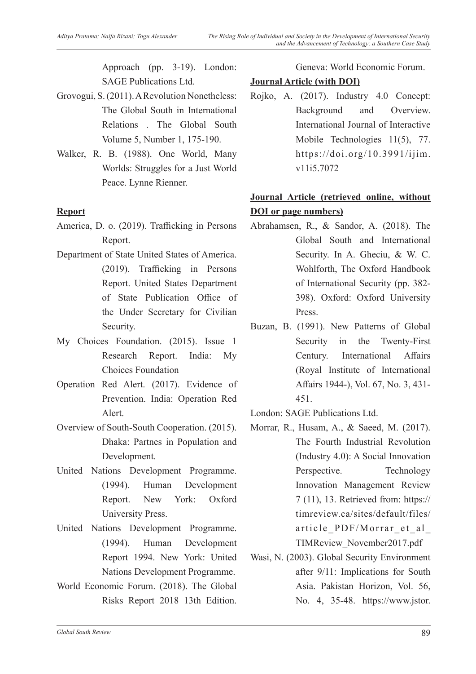Approach (pp. 3-19). London: SAGE Publications Ltd.

- Grovogui, S. (2011). A Revolution Nonetheless: The Global South in International Relations . The Global South Volume 5, Number 1, 175-190.
- Walker, R. B. (1988). One World, Many Worlds: Struggles for a Just World Peace. Lynne Rienner.

### **Report**

- America, D. o. (2019). Trafficking in Persons Report.
- Department of State United States of America. (2019). Trafficking in Persons Report. United States Department of State Publication Office of the Under Secretary for Civilian Security.
- My Choices Foundation. (2015). Issue 1 Research Report. India: My Choices Foundation
- Operation Red Alert. (2017). Evidence of Prevention. India: Operation Red Alert.
- Overview of South-South Cooperation. (2015). Dhaka: Partnes in Population and Development.
- United Nations Development Programme. (1994). Human Development Report. New York: Oxford University Press.
- United Nations Development Programme. (1994). Human Development Report 1994. New York: United Nations Development Programme.
- World Economic Forum. (2018). The Global Risks Report 2018 13th Edition.

Geneva: World Economic Forum.

## **Journal Article (with DOI)**

Rojko, A. (2017). Industry 4.0 Concept: Background and Overview. International Journal of Interactive Mobile Technologies 11(5), 77. https://doi.org/10.3991/ijim. v11i5.7072

## **Journal Article (retrieved online, without DOI or page numbers)**

- Abrahamsen, R., & Sandor, A. (2018). The Global South and International Security. In A. Gheciu, & W. C. Wohlforth, The Oxford Handbook of International Security (pp. 382- 398). Oxford: Oxford University Press.
- Buzan, B. (1991). New Patterns of Global Security in the Twenty-First Century. International Affairs (Royal Institute of International Affairs 1944-), Vol. 67, No. 3, 431- 451.
- London: SAGE Publications Ltd.
- Morrar, R., Husam, A., & Saeed, M. (2017). The Fourth Industrial Revolution (Industry 4.0): A Social Innovation Perspective. Technology Innovation Management Review 7 (11), 13. Retrieved from: https:// timreview.ca/sites/default/files/ article\_PDF/Morrar\_et\_al\_ TIMReview\_November2017.pdf
- Wasi, N. (2003). Global Security Environment after 9/11: Implications for South Asia. Pakistan Horizon, Vol. 56, No. 4, 35-48. https://www.jstor.